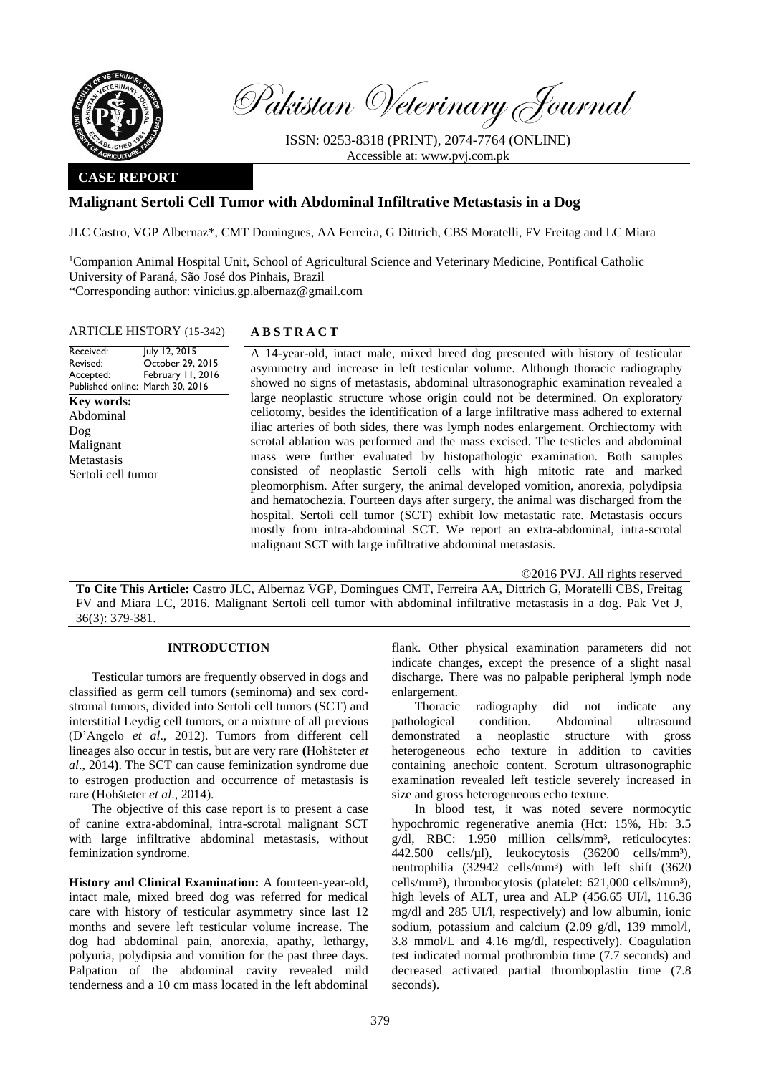

Pakistan Veterinary Journal

ISSN: 0253-8318 (PRINT), 2074-7764 (ONLINE) Accessible at: [www.pvj.com.pk](http://www.pvj.com.pk/)

## **CASE REPORT**

# **Malignant Sertoli Cell Tumor with Abdominal Infiltrative Metastasis in a Dog**

JLC Castro, VGP Albernaz\*, CMT Domingues, AA Ferreira, G Dittrich, CBS Moratelli, FV Freitag and LC Miara

<sup>1</sup>Companion Animal Hospital Unit, School of Agricultural Science and Veterinary Medicine, Pontifical Catholic University of Paraná, São José dos Pinhais, Brazil \*Corresponding author: vinicius.gp.albernaz@gmail.com

### ARTICLE HISTORY (15-342) **A B S T R A C T**

Received: Revised: Accepted: Published online: March 30, 2016 July 12, 2015 October 29, 2015 February 11, 2016 **Key words:**  Abdominal Dog Malignant **Metastasis** Sertoli cell tumor

A 14-year-old, intact male, mixed breed dog presented with history of testicular asymmetry and increase in left testicular volume. Although thoracic radiography showed no signs of metastasis, abdominal ultrasonographic examination revealed a large neoplastic structure whose origin could not be determined. On exploratory celiotomy, besides the identification of a large infiltrative mass adhered to external iliac arteries of both sides, there was lymph nodes enlargement. Orchiectomy with scrotal ablation was performed and the mass excised. The testicles and abdominal mass were further evaluated by histopathologic examination. Both samples consisted of neoplastic Sertoli cells with high mitotic rate and marked pleomorphism. After surgery, the animal developed vomition, anorexia, polydipsia and hematochezia. Fourteen days after surgery, the animal was discharged from the hospital. Sertoli cell tumor (SCT) exhibit low metastatic rate. Metastasis occurs mostly from intra-abdominal SCT. We report an extra-abdominal, intra-scrotal malignant SCT with large infiltrative abdominal metastasis.

©2016 PVJ. All rights reserved

**To Cite This Article:** Castro JLC, Albernaz VGP, Domingues CMT, Ferreira AA, Dittrich G, Moratelli CBS, Freitag FV and Miara LC, 2016. Malignant Sertoli cell tumor with abdominal infiltrative metastasis in a dog. Pak Vet J, 36(3): 379-381.

## **INTRODUCTION**

Testicular tumors are frequently observed in dogs and classified as germ cell tumors (seminoma) and sex cordstromal tumors, divided into Sertoli cell tumors (SCT) and interstitial Leydig cell tumors, or a mixture of all previous (D'Angelo *et al*., 2012). Tumors from different cell lineages also occur in testis, but are very rare **(**Hohšteter *et al*., 2014**)**. The SCT can cause feminization syndrome due to estrogen production and occurrence of metastasis is rare (Hohšteter *et al*., 2014).

The objective of this case report is to present a case of canine extra-abdominal, intra-scrotal malignant SCT with large infiltrative abdominal metastasis, without feminization syndrome.

**History and Clinical Examination:** A fourteen-year-old, intact male, mixed breed dog was referred for medical care with history of testicular asymmetry since last 12 months and severe left testicular volume increase. The dog had abdominal pain, anorexia, apathy, lethargy, polyuria, polydipsia and vomition for the past three days. Palpation of the abdominal cavity revealed mild tenderness and a 10 cm mass located in the left abdominal

flank. Other physical examination parameters did not indicate changes, except the presence of a slight nasal discharge. There was no palpable peripheral lymph node enlargement.

Thoracic radiography did not indicate any pathological condition. Abdominal ultrasound demonstrated a neoplastic structure with gross heterogeneous echo texture in addition to cavities containing anechoic content. Scrotum ultrasonographic examination revealed left testicle severely increased in size and gross heterogeneous echo texture.

In blood test, it was noted severe normocytic hypochromic regenerative anemia (Hct: 15%, Hb: 3.5 g/dl, RBC: 1.950 million cells/mm<sup>3</sup>, reticulocytes: 442.500 cells/µl), leukocytosis (36200 cells/mm³), neutrophilia (32942 cells/mm<sup>3</sup>) with left shift (3620 cells/mm<sup>3</sup>), thrombocytosis (platelet: 621,000 cells/mm<sup>3</sup>), high levels of ALT, urea and ALP (456.65 UI/l, 116.36 mg/dl and 285 UI/l, respectively) and low albumin, ionic sodium, potassium and calcium (2.09 g/dl, 139 mmol/l, 3.8 mmol/L and 4.16 mg/dl, respectively). Coagulation test indicated normal prothrombin time (7.7 seconds) and decreased activated partial thromboplastin time (7.8 seconds).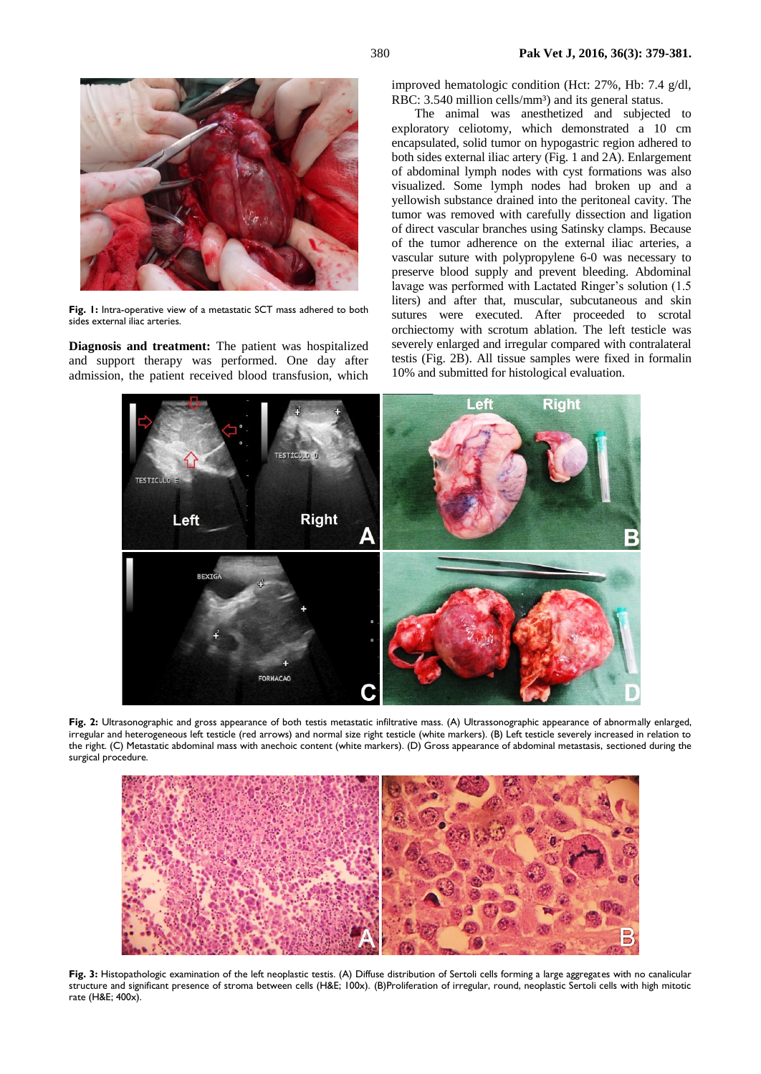

**Fig. 1:** Intra-operative view of a metastatic SCT mass adhered to both sides external iliac arteries.

**Diagnosis and treatment:** The patient was hospitalized and support therapy was performed. One day after admission, the patient received blood transfusion, which improved hematologic condition (Hct: 27%, Hb: 7.4 g/dl, RBC: 3.540 million cells/mm<sup>3</sup>) and its general status.

The animal was anesthetized and subjected to exploratory celiotomy, which demonstrated a 10 cm encapsulated, solid tumor on hypogastric region adhered to both sides external iliac artery (Fig. 1 and 2A). Enlargement of abdominal lymph nodes with cyst formations was also visualized. Some lymph nodes had broken up and a yellowish substance drained into the peritoneal cavity. The tumor was removed with carefully dissection and ligation of direct vascular branches using Satinsky clamps. Because of the tumor adherence on the external iliac arteries, a vascular suture with polypropylene 6-0 was necessary to preserve blood supply and prevent bleeding. Abdominal lavage was performed with Lactated Ringer's solution (1.5 liters) and after that, muscular, subcutaneous and skin sutures were executed. After proceeded to scrotal orchiectomy with scrotum ablation. The left testicle was severely enlarged and irregular compared with contralateral testis (Fig. 2B). All tissue samples were fixed in formalin 10% and submitted for histological evaluation.



**Fig. 2:** Ultrasonographic and gross appearance of both testis metastatic infiltrative mass. (A) Ultrassonographic appearance of abnormally enlarged, irregular and heterogeneous left testicle (red arrows) and normal size right testicle (white markers). (B) Left testicle severely increased in relation to the right. (C) Metastatic abdominal mass with anechoic content (white markers). (D) Gross appearance of abdominal metastasis, sectioned during the surgical procedure.



**Fig. 3:** Histopathologic examination of the left neoplastic testis. (A) Diffuse distribution of Sertoli cells forming a large aggregates with no canalicular structure and significant presence of stroma between cells (H&E; 100x). (B)Proliferation of irregular, round, neoplastic Sertoli cells with high mitotic rate (H&E; 400x).